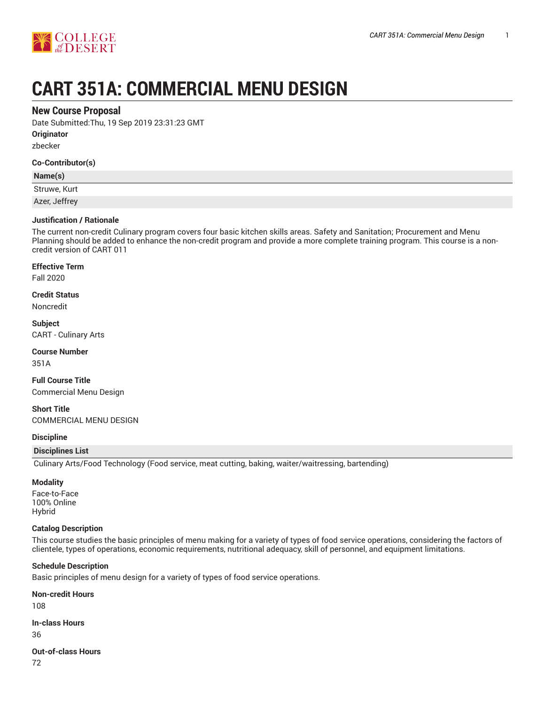

# **CART 351A: COMMERCIAL MENU DESIGN**

# **New Course Proposal**

Date Submitted:Thu, 19 Sep 2019 23:31:23 GMT

**Originator**

zbecker

#### **Co-Contributor(s)**

## **Name(s)**

Struwe, Kurt

Azer, Jeffrey

## **Justification / Rationale**

The current non-credit Culinary program covers four basic kitchen skills areas. Safety and Sanitation; Procurement and Menu Planning should be added to enhance the non-credit program and provide a more complete training program. This course is a noncredit version of CART 011

#### **Effective Term**

Fall 2020

# **Credit Status**

Noncredit

## **Subject**

CART - Culinary Arts

#### **Course Number**

351A

**Full Course Title** Commercial Menu Design

**Short Title** COMMERCIAL MENU DESIGN

## **Discipline**

## **Disciplines List**

Culinary Arts/Food Technology (Food service, meat cutting, baking, waiter/waitressing, bartending)

## **Modality**

Face-to-Face 100% Online Hybrid

#### **Catalog Description**

This course studies the basic principles of menu making for a variety of types of food service operations, considering the factors of clientele, types of operations, economic requirements, nutritional adequacy, skill of personnel, and equipment limitations.

#### **Schedule Description**

Basic principles of menu design for a variety of types of food service operations.

**Non-credit Hours** 108

#### **In-class Hours**

36

# **Out-of-class Hours**

72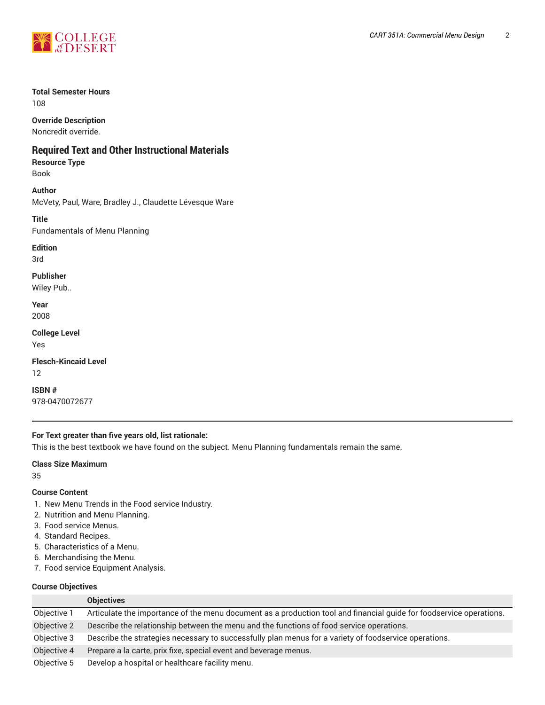

## **Total Semester Hours**

108

**Override Description**

Noncredit override.

# **Required Text and Other Instructional Materials**

**Resource Type** Book

**Author** McVety, Paul, Ware, Bradley J., Claudette Lévesque Ware

**Title** Fundamentals of Menu Planning

**Edition** 3rd

**Publisher** Wiley Pub..

**Year** 2008

**College Level**

Yes

**Flesch-Kincaid Level** 12

**ISBN #** 978-0470072677

# **For Text greater than five years old, list rationale:**

This is the best textbook we have found on the subject. Menu Planning fundamentals remain the same.

#### **Class Size Maximum**

35

## **Course Content**

- 1. New Menu Trends in the Food service Industry.
- 2. Nutrition and Menu Planning.
- 3. Food service Menus.
- 4. Standard Recipes.
- 5. Characteristics of a Menu.
- 6. Merchandising the Menu.
- 7. Food service Equipment Analysis.

# **Course Objectives**

|             | <b>Objectives</b>                                                                                                   |
|-------------|---------------------------------------------------------------------------------------------------------------------|
| Objective 1 | Articulate the importance of the menu document as a production tool and financial quide for foodservice operations. |
| Objective 2 | Describe the relationship between the menu and the functions of food service operations.                            |
| Objective 3 | Describe the strategies necessary to successfully plan menus for a variety of foodservice operations.               |
| Objective 4 | Prepare a la carte, prix fixe, special event and beverage menus.                                                    |
| Objective 5 | Develop a hospital or healthcare facility menu.                                                                     |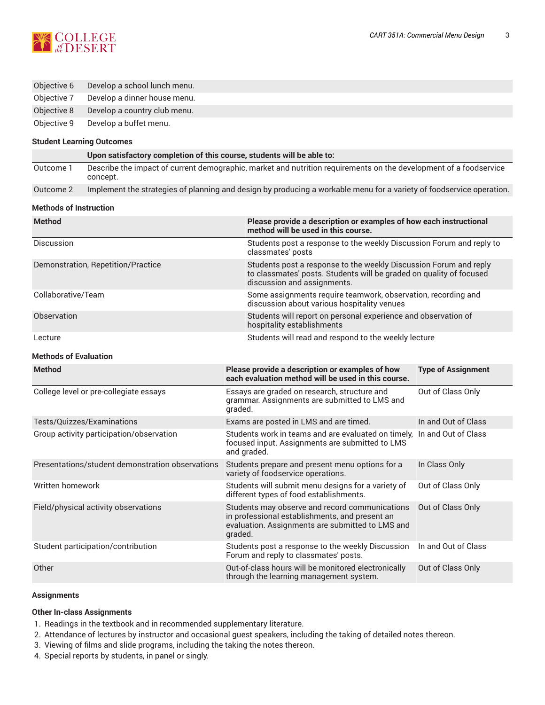

| Objective 6 | Develop a school lunch menu. |
|-------------|------------------------------|
| Objective 7 | Develop a dinner house menu. |

Objective 8 Develop a country club menu.

Objective 9 Develop a buffet menu.

#### **Student Learning Outcomes**

|           | Upon satisfactory completion of this course, students will be able to:                                                        |
|-----------|-------------------------------------------------------------------------------------------------------------------------------|
| Outcome 1 | Describe the impact of current demographic, market and nutrition requirements on the development of a foodservice<br>concept. |
| Outcome 2 | Implement the strategies of planning and design by producing a workable menu for a variety of foodservice operation.          |

#### **Methods of Instruction**

| <b>Method</b>                      | Please provide a description or examples of how each instructional<br>method will be used in this course.                                                               |  |  |
|------------------------------------|-------------------------------------------------------------------------------------------------------------------------------------------------------------------------|--|--|
| Discussion                         | Students post a response to the weekly Discussion Forum and reply to<br>classmates' posts                                                                               |  |  |
| Demonstration, Repetition/Practice | Students post a response to the weekly Discussion Forum and reply<br>to classmates' posts. Students will be graded on quality of focused<br>discussion and assignments. |  |  |
| Collaborative/Team                 | Some assignments require teamwork, observation, recording and<br>discussion about various hospitality venues                                                            |  |  |
| Observation                        | Students will report on personal experience and observation of<br>hospitality establishments                                                                            |  |  |
| Lecture                            | Students will read and respond to the weekly lecture                                                                                                                    |  |  |
| <b>Methods of Evaluation</b>       |                                                                                                                                                                         |  |  |
| <b>Method</b>                      | Please provide a description or examples of how<br><b>Type of Assignment</b><br>each evaluation method will be used in this course.                                     |  |  |

|                                                  | each evaluation method will be used in this course.                                                                                                             |                     |
|--------------------------------------------------|-----------------------------------------------------------------------------------------------------------------------------------------------------------------|---------------------|
| College level or pre-collegiate essays           | Essays are graded on research, structure and<br>grammar. Assignments are submitted to LMS and<br>graded.                                                        | Out of Class Only   |
| Tests/Quizzes/Examinations                       | Exams are posted in LMS and are timed.                                                                                                                          | In and Out of Class |
| Group activity participation/observation         | Students work in teams and are evaluated on timely, In and Out of Class<br>focused input. Assignments are submitted to LMS<br>and graded.                       |                     |
| Presentations/student demonstration observations | Students prepare and present menu options for a<br>variety of foodservice operations.                                                                           | In Class Only       |
| Written homework                                 | Students will submit menu designs for a variety of<br>different types of food establishments.                                                                   | Out of Class Only   |
| Field/physical activity observations             | Students may observe and record communications<br>in professional establishments, and present an<br>evaluation. Assignments are submitted to LMS and<br>graded. | Out of Class Only   |
| Student participation/contribution               | Students post a response to the weekly Discussion<br>Forum and reply to classmates' posts.                                                                      | In and Out of Class |
| Other                                            | Out-of-class hours will be monitored electronically<br>through the learning management system.                                                                  | Out of Class Only   |

#### **Assignments**

#### **Other In-class Assignments**

- 1. Readings in the textbook and in recommended supplementary literature.
- 2. Attendance of lectures by instructor and occasional guest speakers, including the taking of detailed notes thereon.
- 3. Viewing of films and slide programs, including the taking the notes thereon.
- 4. Special reports by students, in panel or singly.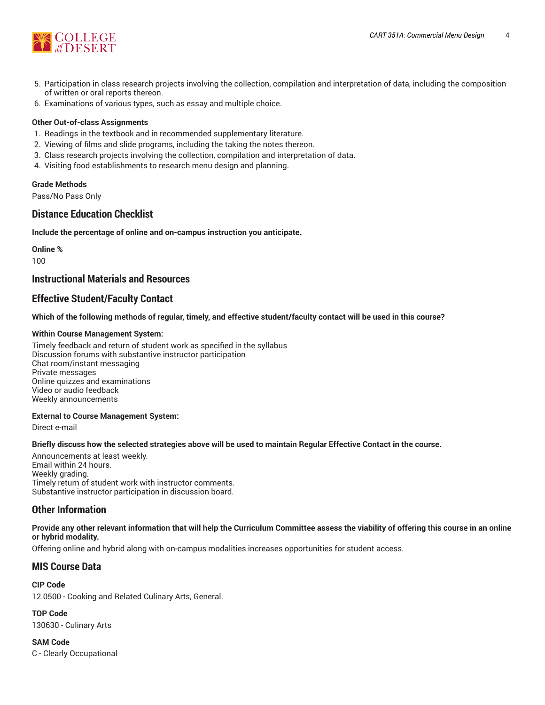

- 5. Participation in class research projects involving the collection, compilation and interpretation of data, including the composition of written or oral reports thereon.
- 6. Examinations of various types, such as essay and multiple choice.

## **Other Out-of-class Assignments**

- 1. Readings in the textbook and in recommended supplementary literature.
- 2. Viewing of films and slide programs, including the taking the notes thereon.
- 3. Class research projects involving the collection, compilation and interpretation of data.
- 4. Visiting food establishments to research menu design and planning.

#### **Grade Methods**

Pass/No Pass Only

# **Distance Education Checklist**

**Include the percentage of online and on-campus instruction you anticipate.**

**Online %** 100

# **Instructional Materials and Resources**

# **Effective Student/Faculty Contact**

Which of the following methods of regular, timely, and effective student/faculty contact will be used in this course?

#### **Within Course Management System:**

Timely feedback and return of student work as specified in the syllabus Discussion forums with substantive instructor participation Chat room/instant messaging Private messages Online quizzes and examinations Video or audio feedback Weekly announcements

#### **External to Course Management System:**

Direct e-mail

#### Briefly discuss how the selected strategies above will be used to maintain Regular Effective Contact in the course.

Announcements at least weekly. Email within 24 hours. Weekly grading. Timely return of student work with instructor comments. Substantive instructor participation in discussion board.

# **Other Information**

Provide any other relevant information that will help the Curriculum Committee assess the viability of offering this course in an online **or hybrid modality.**

Offering online and hybrid along with on-campus modalities increases opportunities for student access.

# **MIS Course Data**

**CIP Code** 12.0500 - Cooking and Related Culinary Arts, General.

**TOP Code** 130630 - Culinary Arts

**SAM Code** C - Clearly Occupational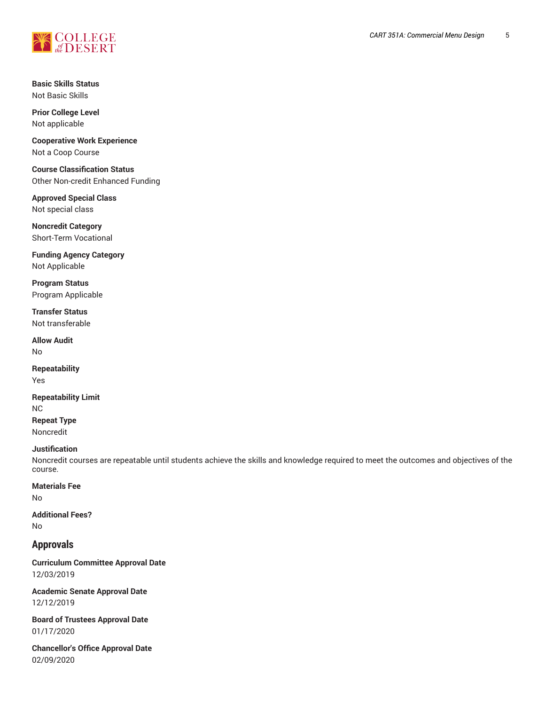

**Basic Skills Status** Not Basic Skills

**Prior College Level** Not applicable

**Cooperative Work Experience** Not a Coop Course

**Course Classification Status** Other Non-credit Enhanced Funding

**Approved Special Class** Not special class

**Noncredit Category** Short-Term Vocational

**Funding Agency Category** Not Applicable

**Program Status** Program Applicable

**Transfer Status** Not transferable

**Allow Audit** No

**Repeatability** Yes

**Repeatability Limit** NC **Repeat Type** Noncredit

#### **Justification**

Noncredit courses are repeatable until students achieve the skills and knowledge required to meet the outcomes and objectives of the course.

## **Materials Fee**

No

**Additional Fees?** No

## **Approvals**

**Curriculum Committee Approval Date** 12/03/2019

**Academic Senate Approval Date** 12/12/2019

**Board of Trustees Approval Date** 01/17/2020

**Chancellor's Office Approval Date** 02/09/2020